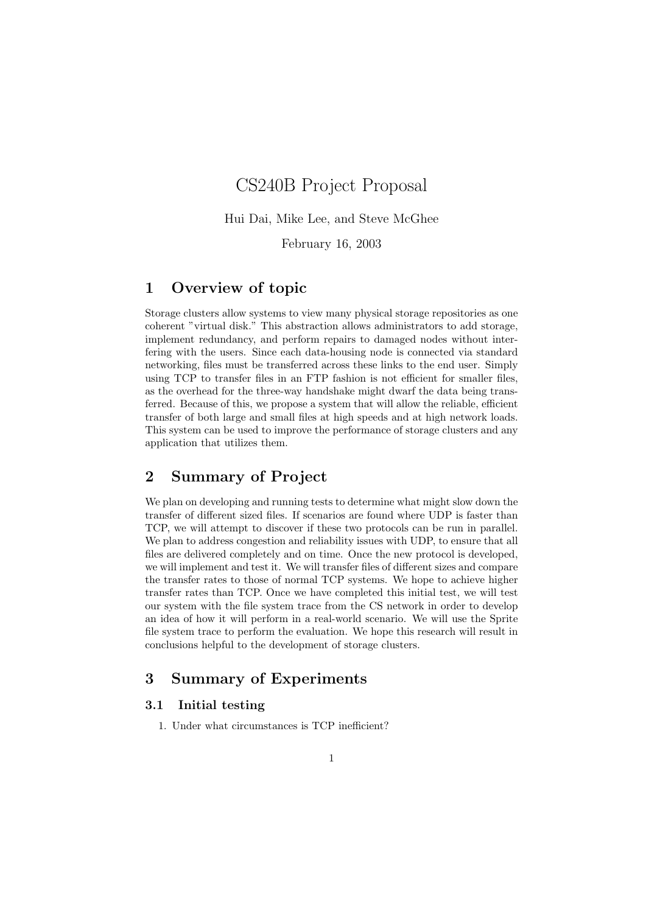# CS240B Project Proposal

Hui Dai, Mike Lee, and Steve McGhee

February 16, 2003

## 1 Overview of topic

Storage clusters allow systems to view many physical storage repositories as one coherent "virtual disk." This abstraction allows administrators to add storage, implement redundancy, and perform repairs to damaged nodes without interfering with the users. Since each data-housing node is connected via standard networking, files must be transferred across these links to the end user. Simply using TCP to transfer files in an FTP fashion is not efficient for smaller files, as the overhead for the three-way handshake might dwarf the data being transferred. Because of this, we propose a system that will allow the reliable, efficient transfer of both large and small files at high speeds and at high network loads. This system can be used to improve the performance of storage clusters and any application that utilizes them.

## 2 Summary of Project

We plan on developing and running tests to determine what might slow down the transfer of different sized files. If scenarios are found where UDP is faster than TCP, we will attempt to discover if these two protocols can be run in parallel. We plan to address congestion and reliability issues with UDP, to ensure that all files are delivered completely and on time. Once the new protocol is developed, we will implement and test it. We will transfer files of different sizes and compare the transfer rates to those of normal TCP systems. We hope to achieve higher transfer rates than TCP. Once we have completed this initial test, we will test our system with the file system trace from the CS network in order to develop an idea of how it will perform in a real-world scenario. We will use the Sprite file system trace to perform the evaluation. We hope this research will result in conclusions helpful to the development of storage clusters.

## 3 Summary of Experiments

### 3.1 Initial testing

1. Under what circumstances is TCP inefficient?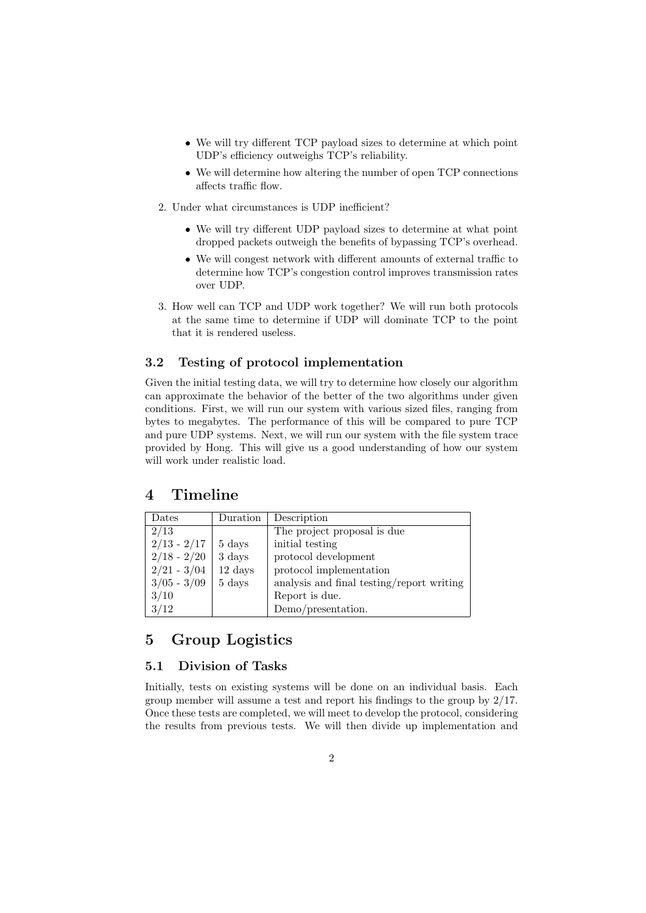- We will try different TCP payload sizes to determine at which point UDP's efficiency outweighs TCP's reliability.
- We will determine how altering the number of open TCP connections affects traffic flow.
- 2. Under what circumstances is UDP inefficient?
	- We will try different UDP payload sizes to determine at what point dropped packets outweigh the benefits of bypassing TCP's overhead.
	- We will congest network with different amounts of external traffic to determine how TCP's congestion control improves transmission rates over UDP.
- 3. How well can TCP and UDP work together? We will run both protocols at the same time to determine if UDP will dominate TCP to the point that it is rendered useless.

### 3.2 Testing of protocol implementation

Given the initial testing data, we will try to determine how closely our algorithm can approximate the behavior of the better of the two algorithms under given conditions. First, we will run our system with various sized files, ranging from bytes to megabytes. The performance of this will be compared to pure TCP and pure UDP systems. Next, we will run our system with the file system trace provided by Hong. This will give us a good understanding of how our system will work under realistic load.

## 4 Timeline

| Dates         | Duration | Description                               |
|---------------|----------|-------------------------------------------|
| 2/13          |          | The project proposal is due               |
| $2/13 - 2/17$ | 5 days   | initial testing                           |
| $2/18 - 2/20$ | 3 days   | protocol development                      |
| $2/21 - 3/04$ | 12 days  | protocol implementation                   |
| $3/05 - 3/09$ | 5 days   | analysis and final testing/report writing |
| 3/10          |          | Report is due.                            |
| 3/12          |          | Demo/presentation.                        |

## 5 Group Logistics

### 5.1 Division of Tasks

Initially, tests on existing systems will be done on an individual basis. Each group member will assume a test and report his findings to the group by 2/17. Once these tests are completed, we will meet to develop the protocol, considering the results from previous tests. We will then divide up implementation and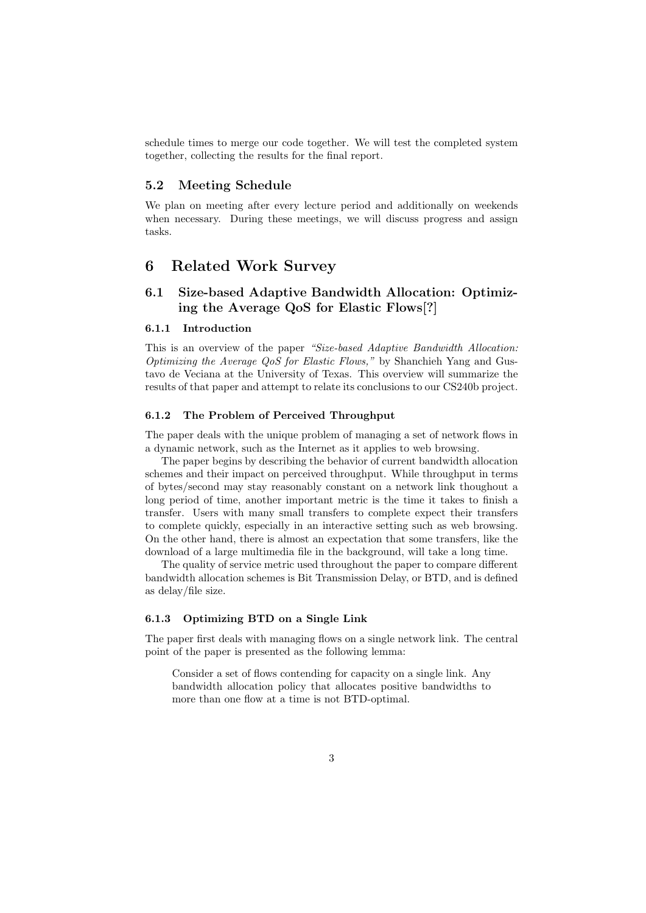schedule times to merge our code together. We will test the completed system together, collecting the results for the final report.

#### 5.2 Meeting Schedule

We plan on meeting after every lecture period and additionally on weekends when necessary. During these meetings, we will discuss progress and assign tasks.

## 6 Related Work Survey

## 6.1 Size-based Adaptive Bandwidth Allocation: Optimizing the Average QoS for Elastic Flows[?]

#### 6.1.1 Introduction

This is an overview of the paper "Size-based Adaptive Bandwidth Allocation: Optimizing the Average QoS for Elastic Flows," by Shanchieh Yang and Gustavo de Veciana at the University of Texas. This overview will summarize the results of that paper and attempt to relate its conclusions to our CS240b project.

#### 6.1.2 The Problem of Perceived Throughput

The paper deals with the unique problem of managing a set of network flows in a dynamic network, such as the Internet as it applies to web browsing.

The paper begins by describing the behavior of current bandwidth allocation schemes and their impact on perceived throughput. While throughput in terms of bytes/second may stay reasonably constant on a network link thoughout a long period of time, another important metric is the time it takes to finish a transfer. Users with many small transfers to complete expect their transfers to complete quickly, especially in an interactive setting such as web browsing. On the other hand, there is almost an expectation that some transfers, like the download of a large multimedia file in the background, will take a long time.

The quality of service metric used throughout the paper to compare different bandwidth allocation schemes is Bit Transmission Delay, or BTD, and is defined as delay/file size.

#### 6.1.3 Optimizing BTD on a Single Link

The paper first deals with managing flows on a single network link. The central point of the paper is presented as the following lemma:

Consider a set of flows contending for capacity on a single link. Any bandwidth allocation policy that allocates positive bandwidths to more than one flow at a time is not BTD-optimal.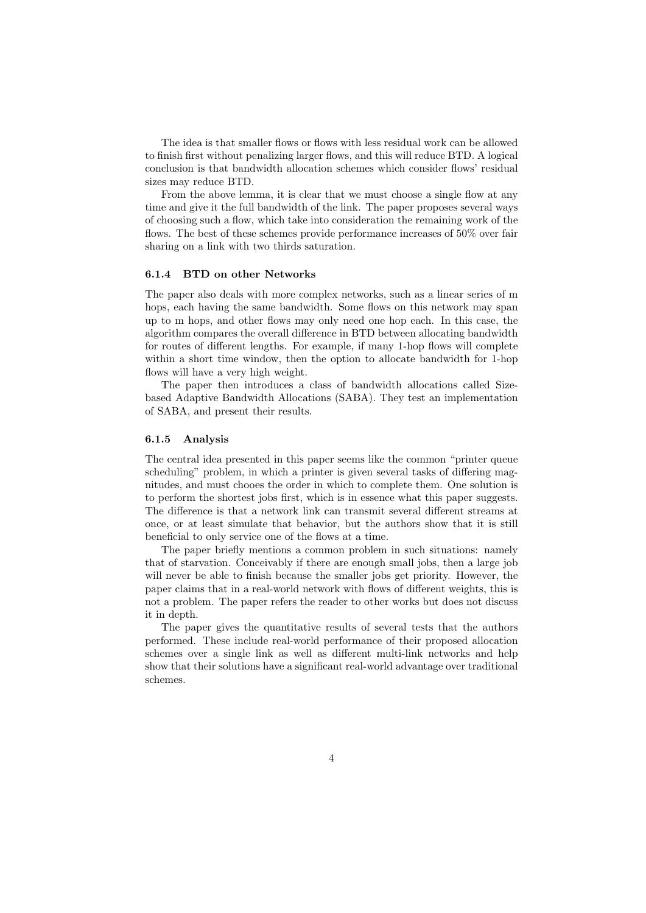The idea is that smaller flows or flows with less residual work can be allowed to finish first without penalizing larger flows, and this will reduce BTD. A logical conclusion is that bandwidth allocation schemes which consider flows' residual sizes may reduce BTD.

From the above lemma, it is clear that we must choose a single flow at any time and give it the full bandwidth of the link. The paper proposes several ways of choosing such a flow, which take into consideration the remaining work of the flows. The best of these schemes provide performance increases of 50% over fair sharing on a link with two thirds saturation.

#### 6.1.4 BTD on other Networks

The paper also deals with more complex networks, such as a linear series of m hops, each having the same bandwidth. Some flows on this network may span up to m hops, and other flows may only need one hop each. In this case, the algorithm compares the overall difference in BTD between allocating bandwidth for routes of different lengths. For example, if many 1-hop flows will complete within a short time window, then the option to allocate bandwidth for 1-hop flows will have a very high weight.

The paper then introduces a class of bandwidth allocations called Sizebased Adaptive Bandwidth Allocations (SABA). They test an implementation of SABA, and present their results.

#### 6.1.5 Analysis

The central idea presented in this paper seems like the common "printer queue scheduling" problem, in which a printer is given several tasks of differing magnitudes, and must chooes the order in which to complete them. One solution is to perform the shortest jobs first, which is in essence what this paper suggests. The difference is that a network link can transmit several different streams at once, or at least simulate that behavior, but the authors show that it is still beneficial to only service one of the flows at a time.

The paper briefly mentions a common problem in such situations: namely that of starvation. Conceivably if there are enough small jobs, then a large job will never be able to finish because the smaller jobs get priority. However, the paper claims that in a real-world network with flows of different weights, this is not a problem. The paper refers the reader to other works but does not discuss it in depth.

The paper gives the quantitative results of several tests that the authors performed. These include real-world performance of their proposed allocation schemes over a single link as well as different multi-link networks and help show that their solutions have a significant real-world advantage over traditional schemes.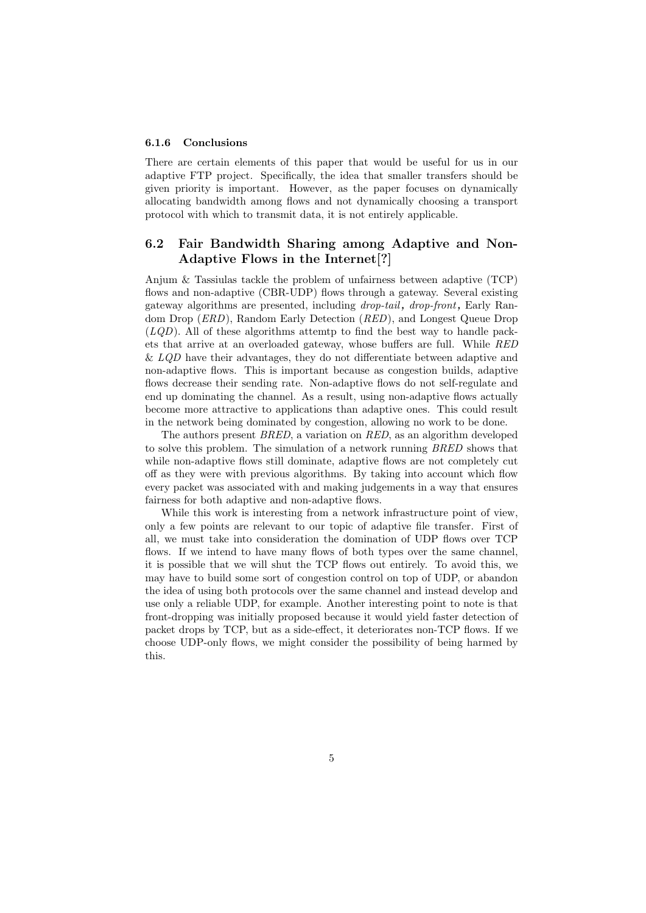#### 6.1.6 Conclusions

There are certain elements of this paper that would be useful for us in our adaptive FTP project. Specifically, the idea that smaller transfers should be given priority is important. However, as the paper focuses on dynamically allocating bandwidth among flows and not dynamically choosing a transport protocol with which to transmit data, it is not entirely applicable.

## 6.2 Fair Bandwidth Sharing among Adaptive and Non-Adaptive Flows in the Internet[?]

Anjum & Tassiulas tackle the problem of unfairness between adaptive (TCP) flows and non-adaptive (CBR-UDP) flows through a gateway. Several existing gateway algorithms are presented, including drop-tail, drop-front, Early Random Drop (ERD), Random Early Detection (RED), and Longest Queue Drop  $(LQD)$ . All of these algorithms attemtp to find the best way to handle packets that arrive at an overloaded gateway, whose buffers are full. While RED  $\&$  LQD have their advantages, they do not differentiate between adaptive and non-adaptive flows. This is important because as congestion builds, adaptive flows decrease their sending rate. Non-adaptive flows do not self-regulate and end up dominating the channel. As a result, using non-adaptive flows actually become more attractive to applications than adaptive ones. This could result in the network being dominated by congestion, allowing no work to be done.

The authors present BRED, a variation on RED, as an algorithm developed to solve this problem. The simulation of a network running BRED shows that while non-adaptive flows still dominate, adaptive flows are not completely cut off as they were with previous algorithms. By taking into account which flow every packet was associated with and making judgements in a way that ensures fairness for both adaptive and non-adaptive flows.

While this work is interesting from a network infrastructure point of view, only a few points are relevant to our topic of adaptive file transfer. First of all, we must take into consideration the domination of UDP flows over TCP flows. If we intend to have many flows of both types over the same channel, it is possible that we will shut the TCP flows out entirely. To avoid this, we may have to build some sort of congestion control on top of UDP, or abandon the idea of using both protocols over the same channel and instead develop and use only a reliable UDP, for example. Another interesting point to note is that front-dropping was initially proposed because it would yield faster detection of packet drops by TCP, but as a side-effect, it deteriorates non-TCP flows. If we choose UDP-only flows, we might consider the possibility of being harmed by this.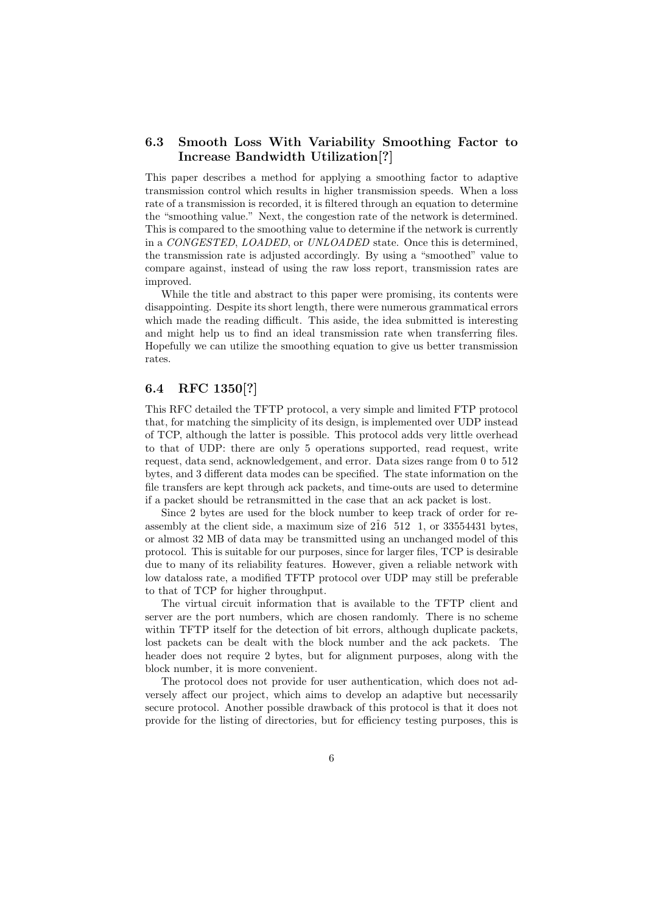## 6.3 Smooth Loss With Variability Smoothing Factor to Increase Bandwidth Utilization[?]

This paper describes a method for applying a smoothing factor to adaptive transmission control which results in higher transmission speeds. When a loss rate of a transmission is recorded, it is filtered through an equation to determine the "smoothing value." Next, the congestion rate of the network is determined. This is compared to the smoothing value to determine if the network is currently in a CONGESTED, LOADED, or UNLOADED state. Once this is determined, the transmission rate is adjusted accordingly. By using a "smoothed" value to compare against, instead of using the raw loss report, transmission rates are improved.

While the title and abstract to this paper were promising, its contents were disappointing. Despite its short length, there were numerous grammatical errors which made the reading difficult. This aside, the idea submitted is interesting and might help us to find an ideal transmission rate when transferring files. Hopefully we can utilize the smoothing equation to give us better transmission rates.

### 6.4 RFC 1350[?]

This RFC detailed the TFTP protocol, a very simple and limited FTP protocol that, for matching the simplicity of its design, is implemented over UDP instead of TCP, although the latter is possible. This protocol adds very little overhead to that of UDP: there are only 5 operations supported, read request, write request, data send, acknowledgement, and error. Data sizes range from 0 to 512 bytes, and 3 different data modes can be specified. The state information on the file transfers are kept through ack packets, and time-outs are used to determine if a packet should be retransmitted in the case that an ack packet is lost.

Since 2 bytes are used for the block number to keep track of order for reassembly at the client side, a maximum size of  $2\hat{1}6$  512 1, or 33554431 bytes, or almost 32 MB of data may be transmitted using an unchanged model of this protocol. This is suitable for our purposes, since for larger files, TCP is desirable due to many of its reliability features. However, given a reliable network with low dataloss rate, a modified TFTP protocol over UDP may still be preferable to that of TCP for higher throughput.

The virtual circuit information that is available to the TFTP client and server are the port numbers, which are chosen randomly. There is no scheme within TFTP itself for the detection of bit errors, although duplicate packets, lost packets can be dealt with the block number and the ack packets. The header does not require 2 bytes, but for alignment purposes, along with the block number, it is more convenient.

The protocol does not provide for user authentication, which does not adversely affect our project, which aims to develop an adaptive but necessarily secure protocol. Another possible drawback of this protocol is that it does not provide for the listing of directories, but for efficiency testing purposes, this is